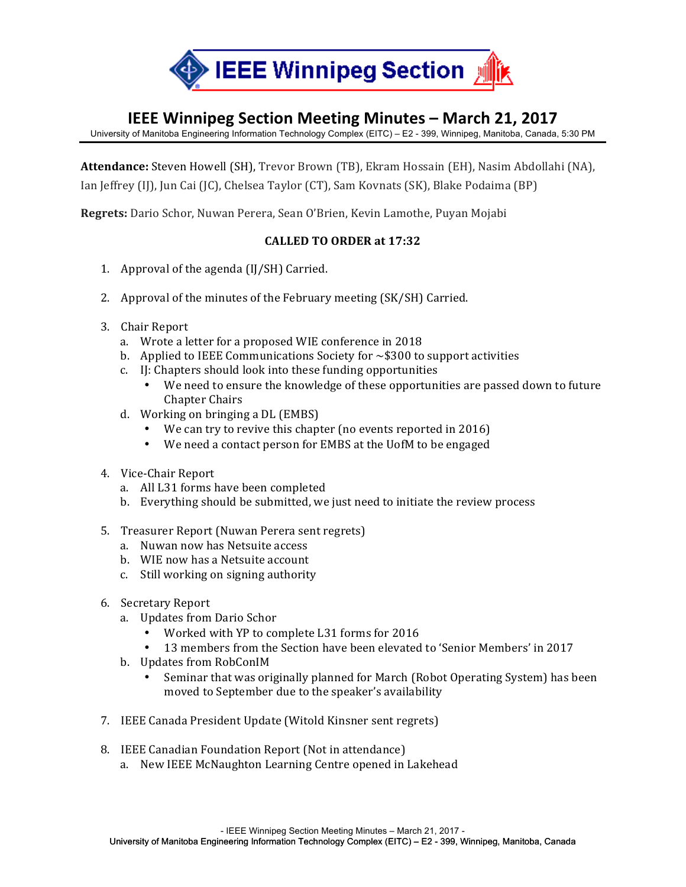

## **IEEE Winnipeg Section Meeting Minutes – March 21, 2017**

University of Manitoba Engineering Information Technology Complex (EITC) – E2 - 399, Winnipeg, Manitoba, Canada, 5:30 PM

Attendance: Steven Howell (SH), Trevor Brown (TB), Ekram Hossain (EH), Nasim Abdollahi (NA), Ian Jeffrey (IJ), Jun Cai (JC), Chelsea Taylor (CT), Sam Kovnats (SK), Blake Podaima (BP)

**Regrets:** Dario Schor, Nuwan Perera, Sean O'Brien, Kevin Lamothe, Puyan Mojabi

## **CALLED TO ORDER at 17:32**

- 1. Approval of the agenda  $(II/SH)$  Carried.
- 2. Approval of the minutes of the February meeting (SK/SH) Carried.
- 3. Chair Report
	- a. Wrote a letter for a proposed WIE conference in 2018
	- b. Applied to IEEE Communications Society for  $\sim$  \$300 to support activities
	- c. IJ: Chapters should look into these funding opportunities
		- We need to ensure the knowledge of these opportunities are passed down to future Chapter Chairs
	- d. Working on bringing a  $DL$  (EMBS)
		- We can try to revive this chapter (no events reported in 2016)
		- We need a contact person for EMBS at the UofM to be engaged
- 4. Vice-Chair Report
	- a. All L31 forms have been completed
	- b. Everything should be submitted, we just need to initiate the review process
- 5. Treasurer Report (Nuwan Perera sent regrets)
	- a. Nuwan now has Netsuite access
	- b. WIE now has a Netsuite account
	- c. Still working on signing authority
- 6. Secretary Report
	- a. Updates from Dario Schor
		- Worked with YP to complete L31 forms for 2016
		- 13 members from the Section have been elevated to 'Senior Members' in 2017
	- b. Updates from RobConIM
		- Seminar that was originally planned for March (Robot Operating System) has been moved to September due to the speaker's availability
- 7. IEEE Canada President Update (Witold Kinsner sent regrets)
- 8. IEEE Canadian Foundation Report (Not in attendance)
	- a. New IEEE McNaughton Learning Centre opened in Lakehead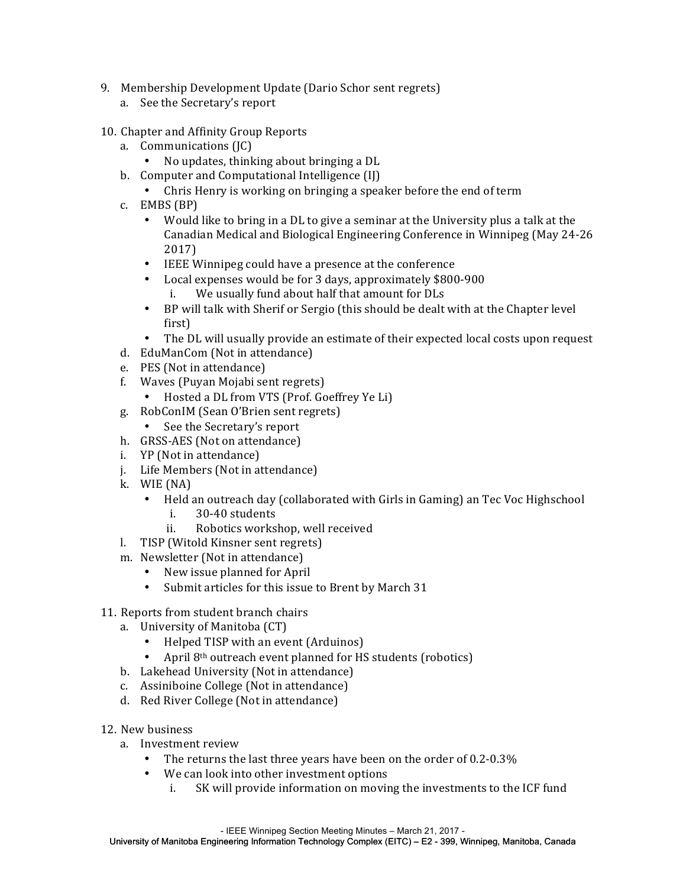- 9. Membership Development Update (Dario Schor sent regrets)
	- a. See the Secretary's report
- 10. Chapter and Affinity Group Reports
	- a. Communications (JC)
		- No updates, thinking about bringing a DL
	- b. Computer and Computational Intelligence (II)
		- Chris Henry is working on bringing a speaker before the end of term
	- c. EMBS (BP)
		- Would like to bring in a DL to give a seminar at the University plus a talk at the Canadian Medical and Biological Engineering Conference in Winnipeg (May 24-26) 2017)
		- IEEE Winnipeg could have a presence at the conference
		- Local expenses would be for 3 days, approximately \$800-900 i. We usually fund about half that amount for DLs
		- BP will talk with Sherif or Sergio (this should be dealt with at the Chapter level first)
		- The DL will usually provide an estimate of their expected local costs upon request
	- d. EduManCom (Not in attendance)
	- e. PES (Not in attendance)
	- f. Waves (Puyan Mojabi sent regrets)
		- Hosted a DL from VTS (Prof. Goeffrey Ye Li)
	- g. RobConIM (Sean O'Brien sent regrets)
		- See the Secretary's report
	- h. GRSS-AES (Not on attendance)
	- i. YP (Not in attendance)
	- j. Life Members (Not in attendance)
	- k. WIE (NA)
		- Held an outreach day (collaborated with Girls in Gaming) an Tec Voc Highschool i. 30-40 students
			- ii. Robotics workshop, well received
	- l. TISP (Witold Kinsner sent regrets)
	- m. Newsletter (Not in attendance)
		- New issue planned for April
		- Submit articles for this issue to Brent by March 31
- 11. Reports from student branch chairs
	- a. University of Manitoba (CT)
		- Helped TISP with an event (Arduinos)
		- April  $8<sup>th</sup>$  outreach event planned for HS students (robotics)
	- b. Lakehead University (Not in attendance)
	- c. Assiniboine College (Not in attendance)
	- d. Red River College (Not in attendance)
- 12. New business
	- a. Investment review
		- The returns the last three years have been on the order of  $0.2$ - $0.3\%$
		- We can look into other investment options
			- i. SK will provide information on moving the investments to the ICF fund